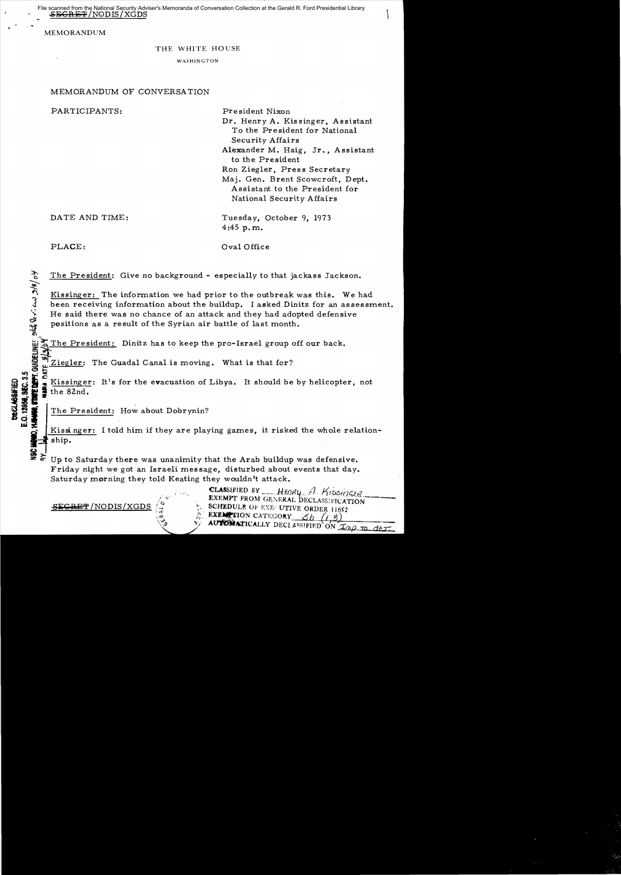$\overline{\mathrm{\#}}$ /NODIS/XGDS Security Adviser's Memoranda of Conversation Collection at the Gerald R. Ford Presidential Library

MEMORANDUM

## THE WHITE HOUSE

WASHINGTON

## MEMORANDUM OF CONVERSATION

| PARTICIPANTS:  | President Nixon<br>Dr. Henry A. Kissinger, Assistant<br>To the President for National<br>Security Affairs<br>Alexander M. Haig, Jr., Assistant<br>to the President<br>Ron Ziegler, Press Secretary<br>Maj. Gen. Brent Scowcroft, Dept.<br>Assistant to the President for<br>National Security Affairs |
|----------------|-------------------------------------------------------------------------------------------------------------------------------------------------------------------------------------------------------------------------------------------------------------------------------------------------------|
| DATE AND TIME: | Tuesday, October 9, 1973<br>4:45 p.m.                                                                                                                                                                                                                                                                 |

**E.O. 12869, SEC. 3.5**<br>**HANNO. STATE DEPT.** GUIDELINE! SKA Quot and 19/9/05

~

PLACE:  $Oval \cdot Oflice$ 

The President: Give no background - especially to that jackass Jackson.

Kissinger: The information we had prior to the outbreak was this. We had been receiving information about the buildup. I asked Dinitz for an assessment. He said there was no chance of an attack and they had adopted defensive positions as a result of the Syrian air battle of last month.

The President: Dinitz has to keep the pro-Israel group off our back.

Ziegler: The Guadal Canal is moving. What is that for?

of the College of the Guadal Canal is moving. What is that for the contract of the evacuation of Libya. It should be by helicopter, not **IS IT THE EXTERN PROFILE IS SEEN ASSESSED AT A SET OF THE 82nd.**<br> **IT'S SAMPLE THE 82nd.**<br> **IT'LE President:** How about Dobrynin?<br> **BY THE President:** How about Dobrynin?

Kissinger: I told him if they are playing games, it risked the whole relationship.

Up to Saturday there was unanimity that the Arab buildup was defensive. Friday night we got an Israeli message, disturbed about events that day. Saturday morning they told Keating they wouldn't attack.



CLASSIFIED BY \_\_\_\_\_HEORY *A. KISSINGER*<br>EXEMPT FROM GENERAL DECLASSIFICATION  $S_{\text{EGREF}}/NODIS/XGDS$   $\rightarrow$  schedule of EXE. UTIVE ORDER 11652 EXEMPTION CATEGORY  $6h/(1,3)$ AUTOMATICALLY DECLASSIFIED ON  $\mathcal{I}_{\partial Q,\mathcal{D}}$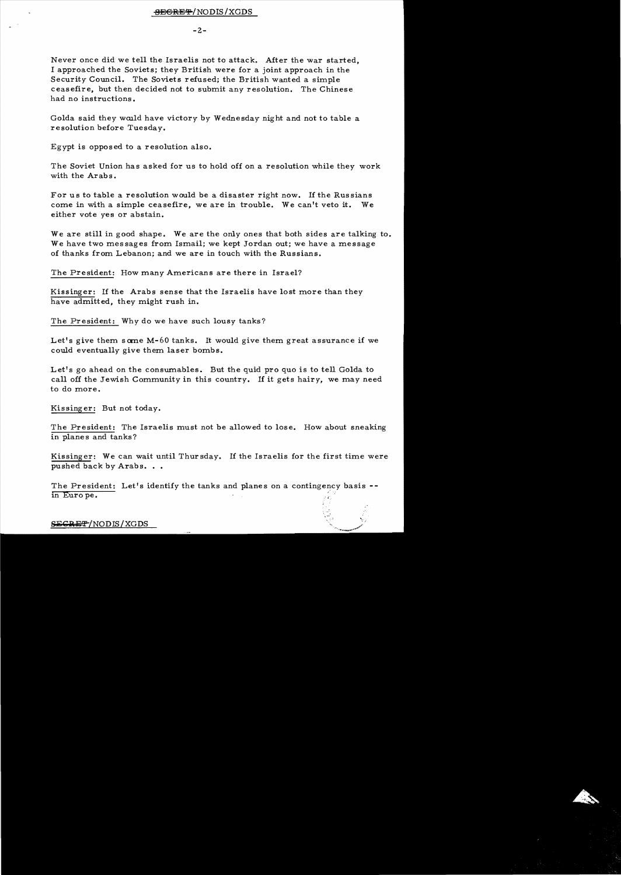$-2-$ 

Never once did we tell the Israelis not to attack. After the war started, I approached the Soviets; they British were for a joint approach in the Security Council. The Soviets refused; the British wanted a simple ceasefire, but then decided not to submit any resolution. The Chinese had no instructions.

Golda said they would have victory by Wednesday night and not to table a resolution before Tuesday.

Egypt is opposed to a resolution also.

The Soviet Union has asked for us to hold off on a resolution while they work with the Arabs.

For us to table a resolution would be a disaster right now. If the Russians come in with a simple ceasefire, we are in trouble. We can't veto it. We either vote yes or abstain.

We are still in good shape. We are the only ones that both sides are talking to. We have two messages from Ismail; we kept Jordan out; we have a message of thanks from Lebanon; and we are in touch with the Russians.

The President: How many Americans are there in Israel?

Kissinger: If the Arabs sense that the Israelis have lost more than they have admitted, they might rush in.

The President: Why do we have such lousy tanks?

Let's give them some M-60 tanks. It would give them great assurance if we could eventually give them laser bombs.

Let's go ahead on the consumables. But the quid pro quo is to tell Golda to call off the Jewish Community in this country. If it gets hairy, we may need to do more.

Kissinger: But not today.

The President: The Israelis must not be allowed to lose. How about sneaking in planes and tanks?

Kissinger: We can wait until Thursday. If the Israelis for the first time were pushed back by Arabs...

The President: Let's identify the tanks and planes on a contingency basis -in Euro pe.

SECRET/NODIS/XGDS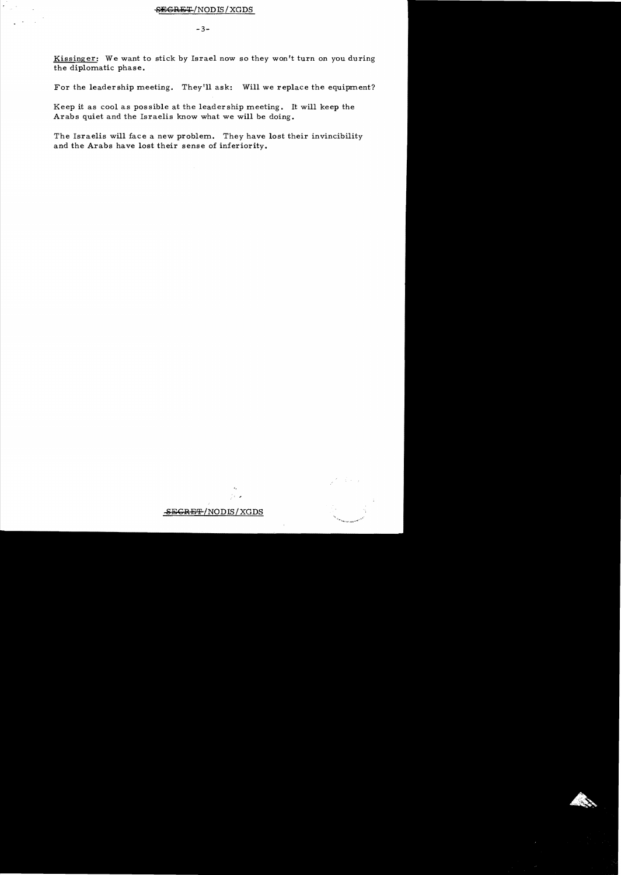Kissinger: We want to stick by Israel now so they won't turn on you during the diplomatic phase.

For the leadership meeting. They'll ask: Will we replace the equipment?

Keep it as cool as possible at the leadership meeting. It will keep the Arabs quiet and the Israelis know what we will be doing.

The Israelis will face a new problem. They have lost their invincibility and the Arabs have lost their sense of inferiority.

## SEGRET/NODIS/XGDS

'.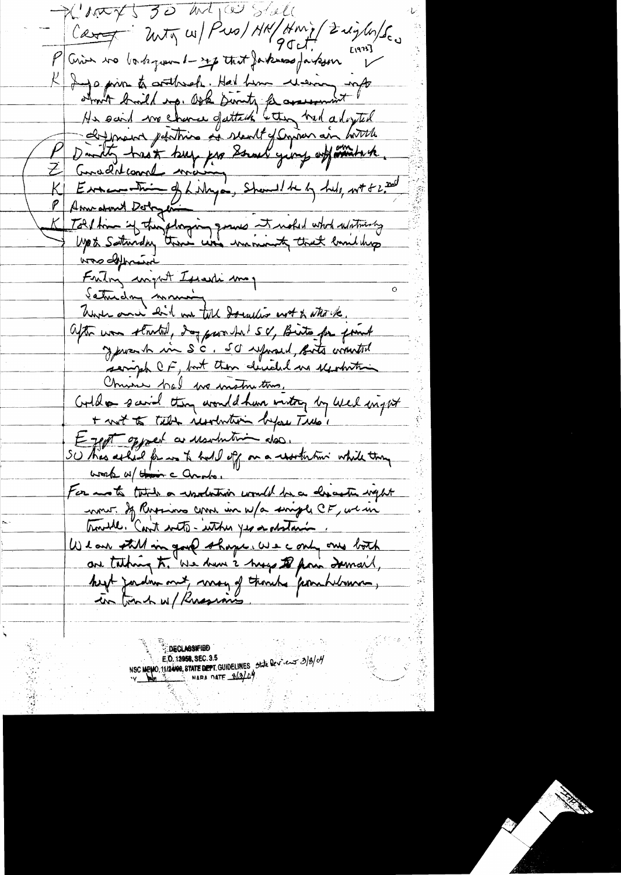$P(M\rightarrow V550$  matico state Cart 2nty w/ Pro/ HN/Hmi/ Zright/Sco P Crim no bortogram 1-24 that forknow fartsom Erans I a private arthur Hal him were info<br>about build up. Ook Simily from which a logital<br>His said we chance of slendt of Conservation with a<br>Daniely track buy for Straw years with with a<br>Consent count were one of hilly and the Amicdrew Dologer 1<br>Told time if they doging graves it withed who whitness was defensive Friting wight Issanti may  $\Omega$ Saturday monie White and hit on till donation not to attack. after was started, day prouded sv, Birts for found y promh in SC. SC uprand, Buts winnted serigh CF, but then decided us seposition Christie had we instruction. Coold a savid they would have intry by wel inget + not to tell insolution before Trus's Eggst opport a usulution dos. SU thas asked for was to hall off on a resolution while they work w/ How c ando. For anoth take a undertwise would be a describe with non of Russiano come in w/a single CF, we in trouble. Can't with - within yes a abstance. We are still in good shape. We cont one both are taking to, We have 2 hogy to poin Irman. heart jordin met, may of though "from helmon. **DECLASSIFIED** NSC MEMO 11/2400, STATE DEPT. GUIDELINES State Dev. en 3/8/04